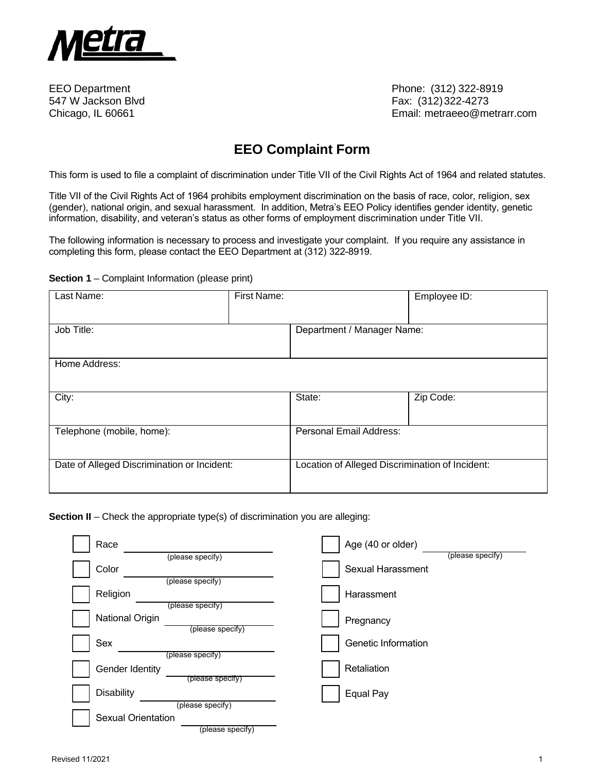

EEO Department 547 W Jackson Blvd Chicago, IL 60661

Phone: (312) 322-8919 Fax: (312)322-4273 Email: metraeeo@metrarr.com

## **EEO Complaint Form**

This form is used to file a complaint of discrimination under Title VII of the Civil Rights Act of 1964 and related statutes.

Title VII of the Civil Rights Act of 1964 prohibits employment discrimination on the basis of race, color, religion, sex (gender), national origin, and sexual harassment. In addition, Metra's EEO Policy identifies gender identity, genetic information, disability, and veteran's status as other forms of employment discrimination under Title VII.

The following information is necessary to process and investigate your complaint. If you require any assistance in completing this form, please contact the EEO Department at (312) 322-8919.

**Section 1** – Complaint Information (please print)

| Last Name:                                  | First Name: |                                                 | Employee ID: |  |
|---------------------------------------------|-------------|-------------------------------------------------|--------------|--|
| Job Title:                                  |             | Department / Manager Name:                      |              |  |
| Home Address:                               |             |                                                 |              |  |
| City:                                       |             | State:                                          | Zip Code:    |  |
| Telephone (mobile, home):                   |             | Personal Email Address:                         |              |  |
| Date of Alleged Discrimination or Incident: |             | Location of Alleged Discrimination of Incident: |              |  |

**Section II** – Check the appropriate type(s) of discrimination you are alleging:

| Race                                                              | Age (40 or older)                            |
|-------------------------------------------------------------------|----------------------------------------------|
| (please specify)<br>Color<br>(please specify)                     | (please specify)<br><b>Sexual Harassment</b> |
| Religion<br>(please specify)                                      | Harassment                                   |
| National Origin<br>(please specify)                               | Pregnancy                                    |
| Sex<br>(please specify)                                           | Genetic Information                          |
| Gender Identity<br>(please specify)                               | Retaliation                                  |
| <b>Disability</b>                                                 | Equal Pay                                    |
| (please specify)<br><b>Sexual Orientation</b><br>(please specify) |                                              |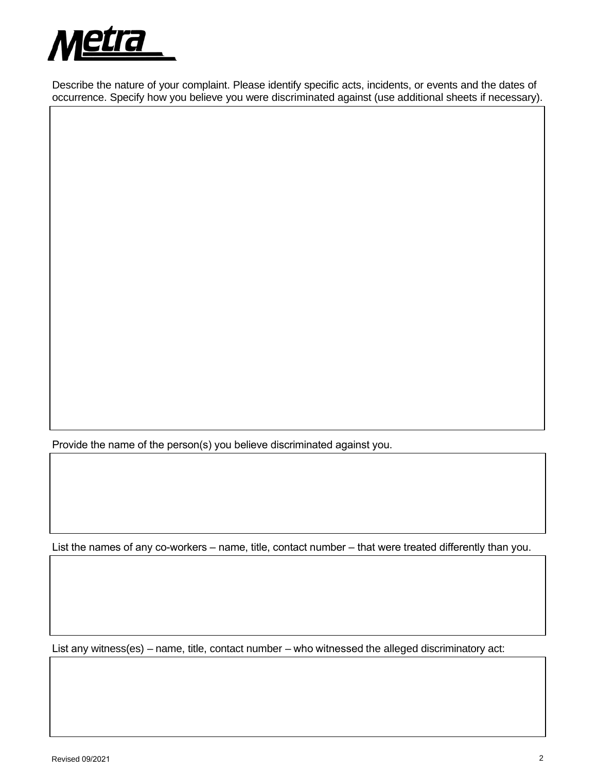

Describe the nature of your complaint. Please identify specific acts, incidents, or events and the dates of occurrence. Specify how you believe you were discriminated against (use additional sheets if necessary).

Provide the name of the person(s) you believe discriminated against you.

List the names of any co-workers – name, title, contact number – that were treated differently than you.

List any witness(es) – name, title, contact number – who witnessed the alleged discriminatory act: